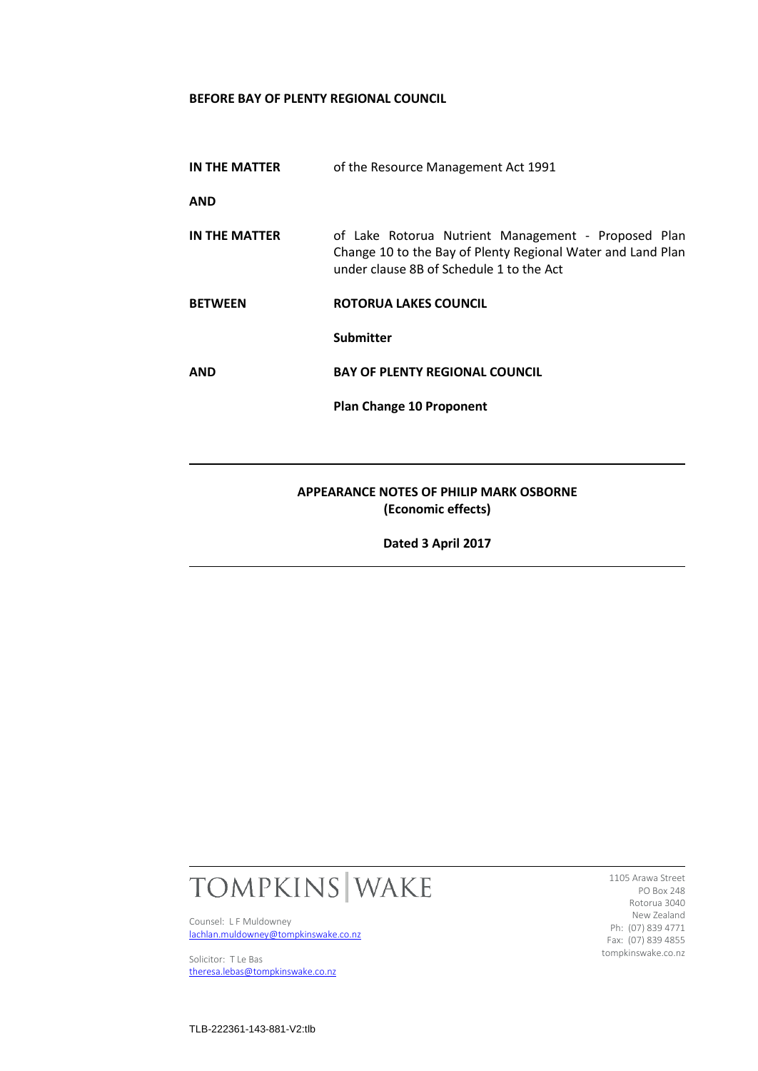## **BEFORE BAY OF PLENTY REGIONAL COUNCIL**

**IN THE MATTER** of the Resource Management Act 1991

**AND**

- **IN THE MATTER** of Lake Rotorua Nutrient Management Proposed Plan Change 10 to the Bay of Plenty Regional Water and Land Plan under clause 8B of Schedule 1 to the Act
- **BETWEEN ROTORUA LAKES COUNCIL**

**Submitter**

**AND BAY OF PLENTY REGIONAL COUNCIL**

**Plan Change 10 Proponent**

## **APPEARANCE NOTES OF PHILIP MARK OSBORNE (Economic effects)**

**Dated 3 April 2017**



Counsel: L F Muldowney [lachlan.muldowney@tompkinswake.co.nz](mailto:lachlan.muldowney@tompkinswake.co.nz)

Solicitor: T Le Bas [theresa.lebas@tompkinswake.co.nz](mailto:theresa.lebas@tompkinswake.co.nz)

1105 Arawa Street PO Box 248 Rotorua 3040 New Zealand Ph: (07) 839 4771 Fax: (07) 839 4855 tompkinswake.co.nz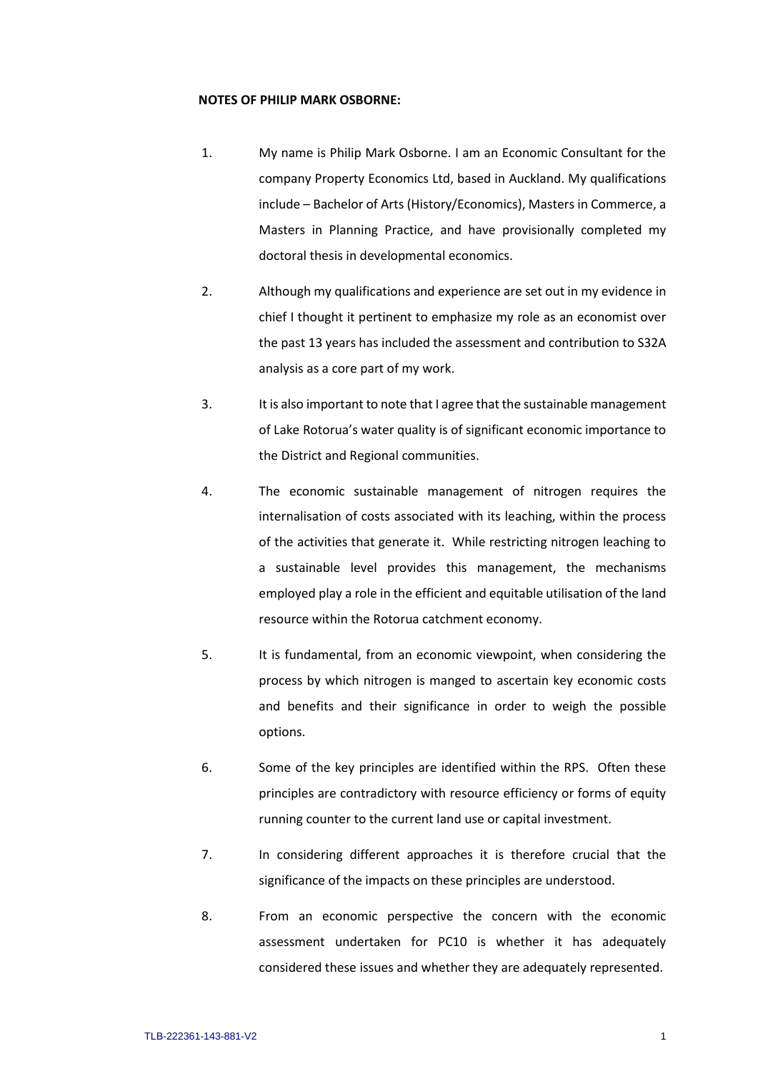## **NOTES OF PHILIP MARK OSBORNE:**

- 1. My name is Philip Mark Osborne. I am an Economic Consultant for the company Property Economics Ltd, based in Auckland. My qualifications include – Bachelor of Arts (History/Economics), Masters in Commerce, a Masters in Planning Practice, and have provisionally completed my doctoral thesis in developmental economics.
- 2. Although my qualifications and experience are set out in my evidence in chief I thought it pertinent to emphasize my role as an economist over the past 13 years has included the assessment and contribution to S32A analysis as a core part of my work.
- 3. It is also important to note that I agree that the sustainable management of Lake Rotorua's water quality is of significant economic importance to the District and Regional communities.
- 4. The economic sustainable management of nitrogen requires the internalisation of costs associated with its leaching, within the process of the activities that generate it. While restricting nitrogen leaching to a sustainable level provides this management, the mechanisms employed play a role in the efficient and equitable utilisation of the land resource within the Rotorua catchment economy.
- 5. It is fundamental, from an economic viewpoint, when considering the process by which nitrogen is manged to ascertain key economic costs and benefits and their significance in order to weigh the possible options.
- 6. Some of the key principles are identified within the RPS. Often these principles are contradictory with resource efficiency or forms of equity running counter to the current land use or capital investment.
- 7. In considering different approaches it is therefore crucial that the significance of the impacts on these principles are understood.
- 8. From an economic perspective the concern with the economic assessment undertaken for PC10 is whether it has adequately considered these issues and whether they are adequately represented.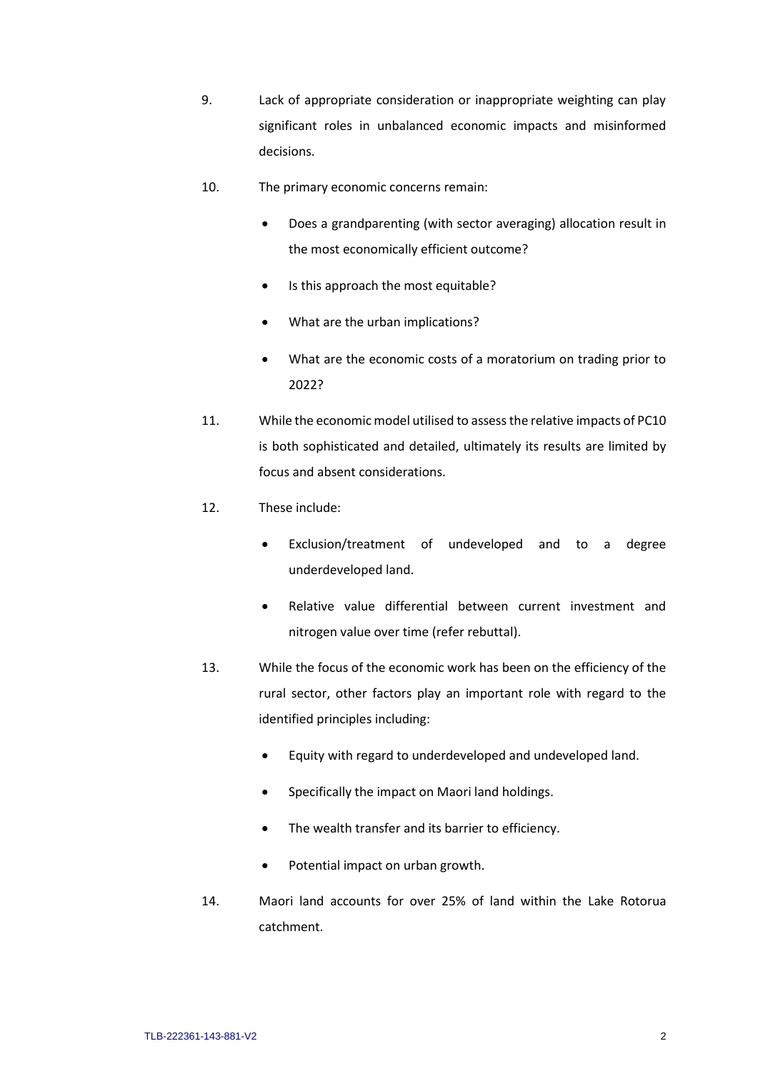- 9. Lack of appropriate consideration or inappropriate weighting can play significant roles in unbalanced economic impacts and misinformed decisions.
- 10. The primary economic concerns remain:
	- Does a grandparenting (with sector averaging) allocation result in the most economically efficient outcome?
	- Is this approach the most equitable?
	- What are the urban implications?
	- What are the economic costs of a moratorium on trading prior to 2022?
- 11. While the economic model utilised to assess the relative impacts of PC10 is both sophisticated and detailed, ultimately its results are limited by focus and absent considerations.
- 12. These include:
	- Exclusion/treatment of undeveloped and to a degree underdeveloped land.
	- Relative value differential between current investment and nitrogen value over time (refer rebuttal).
- 13. While the focus of the economic work has been on the efficiency of the rural sector, other factors play an important role with regard to the identified principles including:
	- Equity with regard to underdeveloped and undeveloped land.
	- Specifically the impact on Maori land holdings.
	- The wealth transfer and its barrier to efficiency.
	- Potential impact on urban growth.
- 14. Maori land accounts for over 25% of land within the Lake Rotorua catchment.